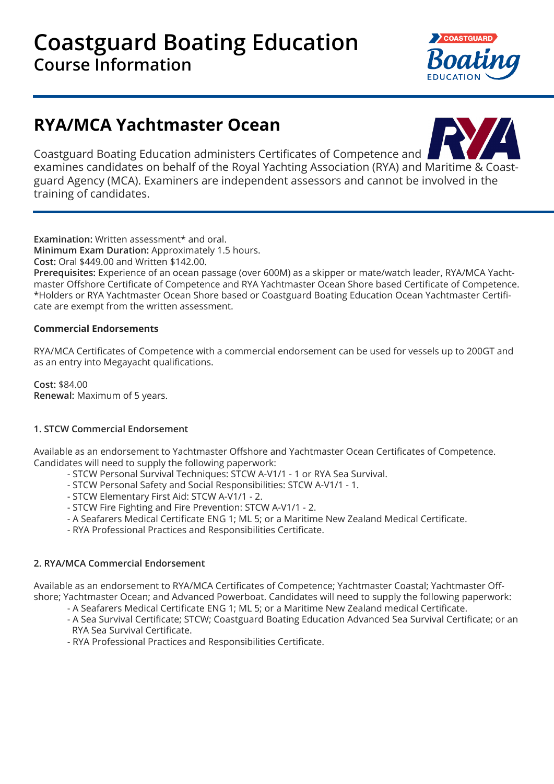

# **RYA/MCA Yachtmaster Ocean**



Coastguard Boating Education administers Certificates of Competence and examines candidates on behalf of the Royal Yachting Association (RYA) and Maritime & Coastguard Agency (MCA). Examiners are independent assessors and cannot be involved in the training of candidates.

**Examination:** Written assessment\* and oral.

**Minimum Exam Duration:** Approximately 1.5 hours.

**Cost:** Oral \$449.00 and Written \$142.00.

**Prerequisites:** Experience of an ocean passage (over 600M) as a skipper or mate/watch leader, RYA/MCA Yachtmaster Offshore Certificate of Competence and RYA Yachtmaster Ocean Shore based Certificate of Competence. \*Holders or RYA Yachtmaster Ocean Shore based or Coastguard Boating Education Ocean Yachtmaster Certificate are exempt from the written assessment.

## **Commercial Endorsements**

RYA/MCA Certificates of Competence with a commercial endorsement can be used for vessels up to 200GT and as an entry into Megayacht qualifications.

**Cost:** \$84.00 **Renewal:** Maximum of 5 years.

## **1. STCW Commercial Endorsement**

Available as an endorsement to Yachtmaster Offshore and Yachtmaster Ocean Certificates of Competence. Candidates will need to supply the following paperwork:

- STCW Personal Survival Techniques: STCW A-V1/1 1 or RYA Sea Survival.
- STCW Personal Safety and Social Responsibilities: STCW A-V1/1 1.
- STCW Elementary First Aid: STCW A-V1/1 2.
- STCW Fire Fighting and Fire Prevention: STCW A-V1/1 2.
- A Seafarers Medical Certificate ENG 1; ML 5; or a Maritime New Zealand Medical Certificate.
- RYA Professional Practices and Responsibilities Certificate.

## **2. RYA/MCA Commercial Endorsement**

Available as an endorsement to RYA/MCA Certificates of Competence; Yachtmaster Coastal; Yachtmaster Offshore; Yachtmaster Ocean; and Advanced Powerboat. Candidates will need to supply the following paperwork:

- A Seafarers Medical Certificate ENG 1; ML 5; or a Maritime New Zealand medical Certificate.
- A Sea Survival Certificate; STCW; Coastguard Boating Education Advanced Sea Survival Certificate; or an RYA Sea Survival Certificate.
- RYA Professional Practices and Responsibilities Certificate.